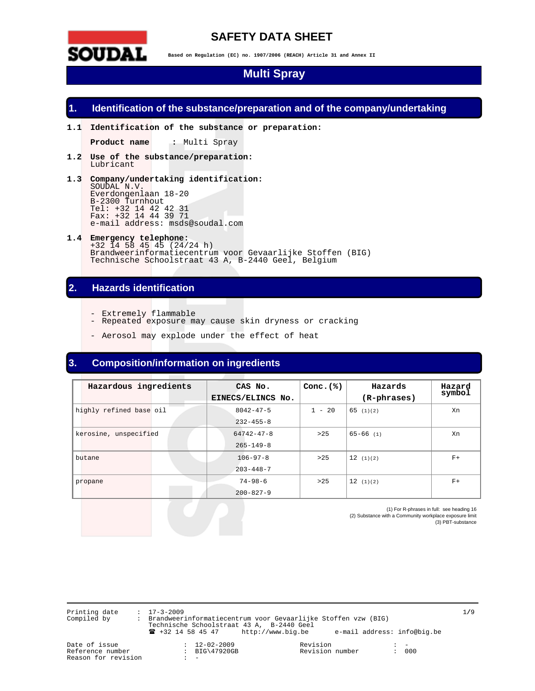

## **SAFETY DATA SHEET**

**Based on Regulation (EC) no. 1907/2006 (REACH) Article 31 and Annex II** 

## **Multi Spray**

### **1. Identification of the substance/preparation and of the company/undertaking**

**1.1 Identification of the substance or preparation:** 

**Product name :** Multi Spray

- **1.2 Use of the substance/preparation:**  Lubricant
- **1.3 Company/undertaking identification:**  SOUDAL N.V. Everdongenlaan 18-20 B-2300 Turnhout Tel: +32 14 42 42 31 Fax: +32 14 44 39 71 e-mail address: msds@soudal.com
- **1.4 Emergency telephone:**  +32 14 58 45 45 (24/24 h) Brandweerinformatiecentrum voor Gevaarlijke Stoffen (BIG) Technische Schoolstraat 43 A, B-2440 Geel, Belgium

## **2. Hazards identification**

- Extremely flammable
- Repeated exposure may cause skin dryness or cracking
	- Aerosol may explode under the effect of heat

## **3. Composition/information on ingredients**

| Hazardous ingredients   | CAS No.<br>EINECS/ELINCS No.        | Conc. $(*)$ | Hazards<br>(R-phrases) | Hazard<br>symbol |
|-------------------------|-------------------------------------|-------------|------------------------|------------------|
| highly refined base oil | $8042 - 47 - 5$<br>$232 - 455 - 8$  | $1 - 20$    | 65(1)(2)               | Xn               |
| kerosine, unspecified   | $64742 - 47 - 8$<br>$265 - 149 - 8$ | >25         | $65 - 66$ (1)          | Xn               |
| butane                  | $106 - 97 - 8$<br>$203 - 448 - 7$   | >25         | 12(1)(2)               | $F+$             |
| propane                 | $74 - 98 - 6$<br>$200 - 827 - 9$    | >25         | 12(1)(2)               | $F+$             |

(1) For R-phrases in full: see heading 16 (2) Substance with a Community workplace exposure limit (3) PBT-substance

Printing date : 17-3-2009 1**/**9 Compiled by : Brandweerinformatiecentrum voor Gevaarlijke Stoffen vzw (BIG) Technische Schoolstraat 43 A, B-2440 Geel ! +32 14 58 45 47 http://www.big.be e-mail address: info@big.be

Reason for revision

Date of issue : 12-02-2009 Revision : - : BIG\47920GB Revision number<br>: -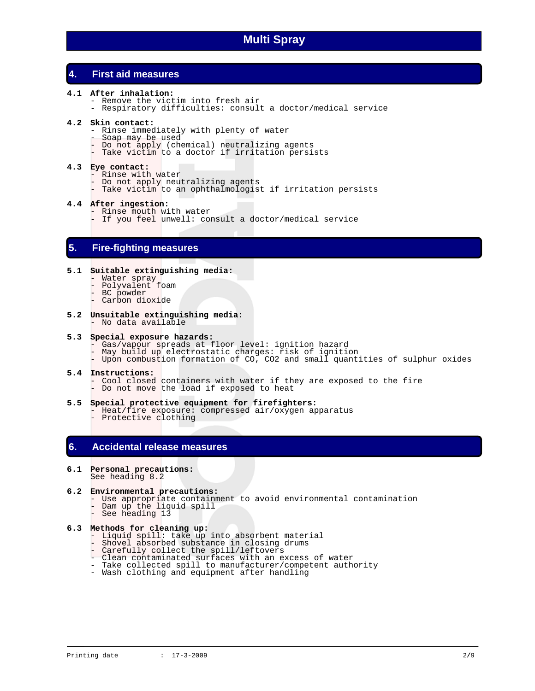## **4. First aid measures**

- **4.1 After inhalation:** 
	- Remove the victim into fresh air
	- Respiratory difficulties: consult a doctor/medical service

#### **4.2 Skin contact:**

- Rinse immediately with plenty of water
- Soap may be used
- Do not apply (chemical) neutralizing agents
- Take victim to a doctor if irritation persists

#### **4.3 Eye contact:**

- Rinse with water
- Do not apply neutralizing agents
- Take victim to an ophthalmologist if irritation persists

#### **4.4 After ingestion:**

- Rinse mouth with water
- If you feel unwell: consult a doctor/medical service

### **5. Fire-fighting measures**

#### **5.1 Suitable extinguishing media:**

- Water spray
- Polyvalent foam
	- BC powder
	- Carbon dioxide
- **5.2 Unsuitable extinguishing media:**  - No data available

#### **5.3 Special exposure hazards:**

- Gas/vapour spreads at floor level: ignition hazard
- May build up electrostatic charges: risk of ignition
	- Upon combustion formation of CO, CO2 and small quantities of sulphur oxides

#### **5.4 Instructions:**

- Cool closed containers with water if they are exposed to the fire - Do not move the load if exposed to heat
- **5.5 Special protective equipment for firefighters:**
- Heat/fire exposure: compressed air/oxygen apparatus - Protective clothing

### **6. Accidental release measures**

#### **6.1 Personal precautions:**  See heading 8.2

## **6.2 Environmental precautions:**

- Use appropriate containment to avoid environmental contamination
- Dam up the liquid spill
- See heading 13

#### **6.3 Methods for cleaning up:**

- Liquid spill: take up into absorbent material
- Shovel absorbed substance in closing drums
- Carefully collect the spill/leftovers
	- Clean contaminated surfaces with an excess of water
	- Take collected spill to manufacturer/competent authority
	- Wash clothing and equipment after handling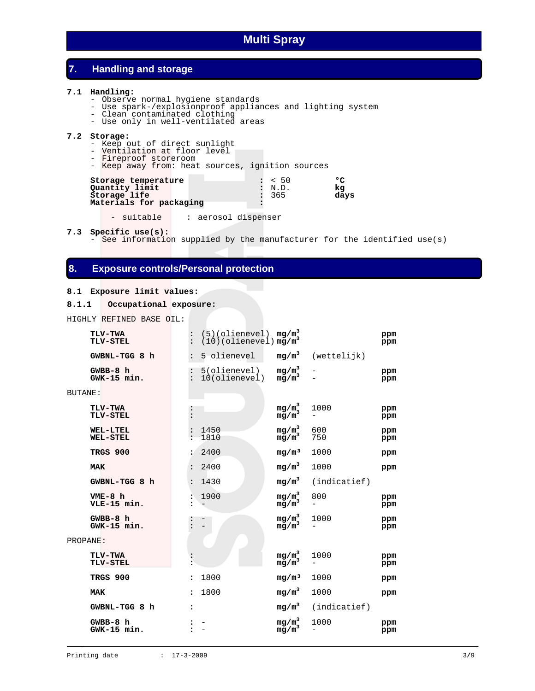## **7. Handling and storage**

#### **7.1 Handling:**

- Observe normal hygiene standards
- Use spark-/explosionproof appliances and lighting system
- Clean contaminated clothing
	- Use only in well-ventilated areas

#### **7.2 Storage:**

- Keep out of direct sunlight
- Ventilation at floor level
- Fireproof storeroom
- Keep away from: heat sources, ignition sources

| Storage temperature     | : 50   | הס   |
|-------------------------|--------|------|
|                         |        |      |
| Quantity limit          | : N.D. | kα   |
| Storage life            | : 365  | davs |
| Materials for packaging |        |      |

- suitable : aerosol dispenser

**7.3 Specific use(s):**

- See information supplied by the manufacturer for the identified use(s)

## **8. Exposure controls/Personal protection**

#### **8.1 Exposure limit values:**

```
8.1.1 Occupational exposure:
```
HIGHLY REFINED BASE OIL:

|          | <b>TLV-TWA</b><br><b>TLV-STEL</b>  |                      | (5)(olienevel) $mg/m^3$<br>(10)(olienevel) $mg/m^3$ | $mg/m^3$                                   |                     | ppm<br>ppm |
|----------|------------------------------------|----------------------|-----------------------------------------------------|--------------------------------------------|---------------------|------------|
|          | GWBNL-TGG 8 h                      | $\ddot{\phantom{a}}$ | 5 olienevel                                         |                                            | $mg/m3$ (wettelijk) |            |
|          | $GWBB-8$ h<br>GWK-15 min.          |                      | 5(olienevel)<br>10(olienevel)                       | $mg/m^3$<br>mg/m <sup>3</sup>              |                     | ppm<br>ppm |
| BUTANE:  |                                    |                      |                                                     |                                            |                     |            |
|          | TLV-TWA<br>TLV-STEL                |                      |                                                     | $mg/m^3$<br>mg/m <sup>3</sup>              | 1000                | ppm<br>ppm |
|          | <b>WEL-LTEL</b><br><b>WEL-STEL</b> |                      | 1450<br>1810                                        | mg/m <sup>3</sup><br>$mg/m^3$              | 600<br>750          | ppm<br>ppm |
|          | TRGS 900                           |                      | 2400                                                | mg/m <sup>3</sup>                          | 1000                | ppm        |
|          | <b>MAK</b>                         | $\ddot{\cdot}$       | 2400                                                | $mg/m^3$                                   | 1000                | ppm        |
|          | GWBNL-TGG 8 h                      |                      | 1430                                                | $mg/m^3$                                   | (indicatief)        |            |
|          | $VME-8$ h<br>VLE-15 min.           |                      | 1900                                                | $mg/m^3$<br>$mg/m^3$                       | 800                 | ppm<br>ppm |
|          | GWBB-8 h<br>GWK-15 min.            |                      |                                                     | mg/m <sub>3</sub> <sup>3</sup><br>$mg/m^3$ | 1000                | ppm<br>ppm |
| PROPANE: |                                    |                      |                                                     |                                            |                     |            |
|          | <b>TLV-TWA</b><br>TLV-STEL         |                      |                                                     | $mg/m^3$<br>mg/m <sup>3</sup>              | 1000                | ppm<br>ppm |
|          | TRGS 900                           | $\ddot{\phantom{a}}$ | 1800                                                | mq/m <sup>3</sup>                          | 1000                | ppm        |
|          | <b>MAK</b>                         | ÷                    | 1800                                                | $mg/m^3$                                   | 1000                | ppm        |
|          | GWBNL-TGG 8 h                      | $\ddot{\phantom{a}}$ |                                                     | mg/m <sup>3</sup>                          | (indicatief)        |            |
|          | GWBB-8 h<br>GWK-15 min.            |                      |                                                     | $mg/m^3$<br>mg/m <sup>3</sup>              | 1000                | ppm<br>ppm |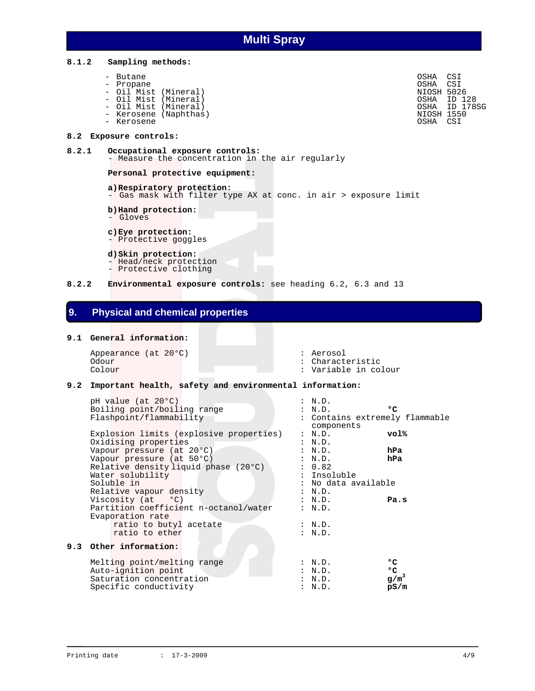#### **8.1.2 Sampling methods:**

- Butane OSHA CSI
- 
- Oil Mist (Mineral)
- 
- Kerosene (Naphthas) NioSh 1550
- Kerosene OSHA CSI

#### **8.2 Exposure controls:**

#### **8.2.1 Occupational exposure controls:** - Measure the concentration in the air regularly

#### **Personal protective equipment:**

#### **a) Respiratory protection:**

- Gas mask with filter type AX at conc. in air > exposure limit
	- **b) Hand protection:**
	- Gloves
	- **c) Eye protection:**
	- Protective goggles

#### **d) Skin protection:**

- Head/neck protection
- Protective clothing
- **8.2.2 Environmental exposure controls:** see heading 6.2, 6.3 and 13

### **9. Physical and chemical properties**

#### **9.1 General information:**

Appearance (at 20°C) : Aerosol : Aerosol : Aerosol : Aerosol : Aerosol : Aerosol : Characte Odour : Characteristic<br>
Colour : Characteristic<br>
Colour : Variable in co

#### : Variable in colour

#### **9.2 Important health, safety and environmental information:**

| pH value (at 20°C)                      | : N.D.                                       |              |
|-----------------------------------------|----------------------------------------------|--------------|
| Boiling point/boiling range             | : N.D.                                       | °C           |
| Flashpoint/flammability                 | : Contains extremely flammable<br>components |              |
| Explosion limits (explosive properties) | : N.D.                                       | vol%         |
| Oxidising properties                    | N.D.                                         |              |
| Vapour pressure (at 20°C)               | : N.D.                                       | hPa          |
| Vapour pressure (at 50°C)               | : N.D.                                       | hPa          |
| Relative density liquid phase (20°C)    | : 0.82                                       |              |
| Water solubility                        | : Insoluble                                  |              |
| Soluble in                              | : No data available                          |              |
|                                         |                                              |              |
| Relative vapour density                 | : N.D.                                       |              |
| Viscosity (at °C)                       | : N.D.                                       | Pa.s         |
| Partition coefficient n-octanol/water   | : N.D.                                       |              |
| Evaporation rate                        |                                              |              |
| ratio to butyl acetate                  | : N.D.                                       |              |
| ratio to ether                          | : N.D.                                       |              |
| 9.3 Other information:                  |                                              |              |
| Melting point/melting range             | : N.D.                                       | $^{\circ}$   |
| Auto-ignition point                     | : N.D.                                       | $^{\circ}$ C |
| Saturation concentration                | N.D.                                         | $g/m^3$      |
| Specific conductivity                   | N.D.                                         | pS/m         |
|                                         |                                              |              |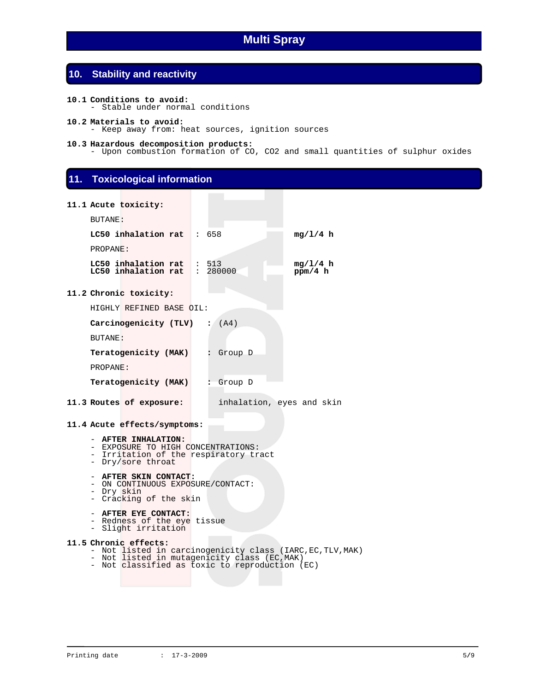## **10. Stability and reactivity**

- **10.1 Conditions to avoid:**  - Stable under normal conditions
- **10.2 Materials to avoid:**  - Keep away from: heat sources, ignition sources

#### **10.3 Hazardous decomposition products:**

- Upon combustion formation of CO, CO2 and small quantities of sulphur oxides

### **11. Toxicological information**

|                | 11.1 Acute toxicity:                                      |  |                           |
|----------------|-----------------------------------------------------------|--|---------------------------|
| BUTANE:        |                                                           |  |                           |
|                | $LC50$ inhalation rat : 658                               |  | mq/1/4 h                  |
| PROPANE:       |                                                           |  |                           |
|                | LC50 inhalation rat : 513<br>LC50 inhalation rat : 280000 |  | mq/1/4 h<br>ppm/4 h       |
|                | 11.2 Chronic toxicity:                                    |  |                           |
|                | HIGHLY REFINED BASE OIL:                                  |  |                           |
|                | Carcinogenicity (TLV) : $(A4)$                            |  |                           |
| <b>BUTANE:</b> |                                                           |  |                           |
|                | <b>Teratogenicity (MAK) :</b> Group D                     |  |                           |
| PROPANE:       |                                                           |  |                           |
|                | <b>Teratogenicity (MAK) :</b> Group D                     |  |                           |
|                | 11.3 Routes of exposure:                                  |  | inhalation, eyes and skin |
|                | 11.4 Acute effects/symptoms:                              |  |                           |
|                | - AFTER INHALATION:                                       |  |                           |

- EXPOSURE TO HIGH CONCENTRATIONS:
- Irritation of the respiratory tract
	- Dry/sore throat

#### - **AFTER SKIN CONTACT:**

- ON CONTINUOUS EXPOSURE/CONTACT:
- Dry skin
- Cracking of the skin

#### - **AFTER EYE CONTACT:**

- Redness of the eye tissue
- Slight irritation

#### **11.5 Chronic effects:**

- Not listed in carcinogenicity class (IARC,EC,TLV,MAK)
- Not listed in mutagenicity class (EC,MAK) - Not classified as toxic to reproduction (EC)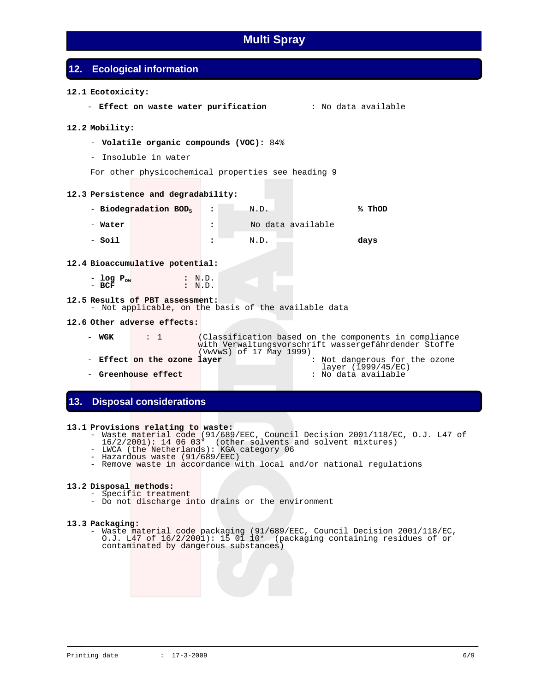## **12. Ecological information**

#### **12.1 Ecotoxicity:**

- **Effect on waste water purification** : No data available

#### **12.2 Mobility:**

- **Volatile organic compounds (VOC):** 84%
- Insoluble in water
- For other physicochemical properties see heading 9

#### **12.3 Persistence and degradability:**

- **Biodegradation BOD5 :** N.D. **% ThOD**  - **Water :** No data available - **Soil :** N.D. **days** 

#### **12.4 Bioaccumulative potential:**

| - log $P_{\alpha w}$ |  | : N.D. |
|----------------------|--|--------|
| $-$ BCF              |  | : N.D. |

#### **12.5 Results of PBT assessment:**

- Not applicable, on the basis of the available data

#### **12.6 Other adverse effects:**

| – WGK                       | $\therefore$ 1 | (VwVwS) of 17 May 1999) |  |  | (Classification based on the components in compliance<br>with Verwaltungsvorschrift wassergefährdender Stoffe |
|-----------------------------|----------------|-------------------------|--|--|---------------------------------------------------------------------------------------------------------------|
| - Effect on the ozone layer |                |                         |  |  | : Not dangerous for the ozone<br>layer (1999/45/EC)                                                           |
| – Greenhouse effect         |                |                         |  |  | : No data available                                                                                           |

### **13. Disposal considerations**

#### **13.1 Provisions relating to waste:**

- Waste material code (91/689/EEC, Council Decision 2001/118/EC, O.J. L47 of
	- 16/2/2001): 14 06 03\* (other solvents and solvent mixtures)
	- LWCA (the Netherlands): KGA category 06
		- Hazardous waste (91/689/EEC)
		- Remove waste in accordance with local and/or national regulations

#### **13.2 Disposal methods:**

- Specific treatment
- Do not discharge into drains or the environment

#### **13.3 Packaging:**

 - Waste material code packaging (91/689/EEC, Council Decision 2001/118/EC, O.J. L47 of 16/2/2001): 15 01 10\* (packaging containing residues of or contaminated by dangerous substances)

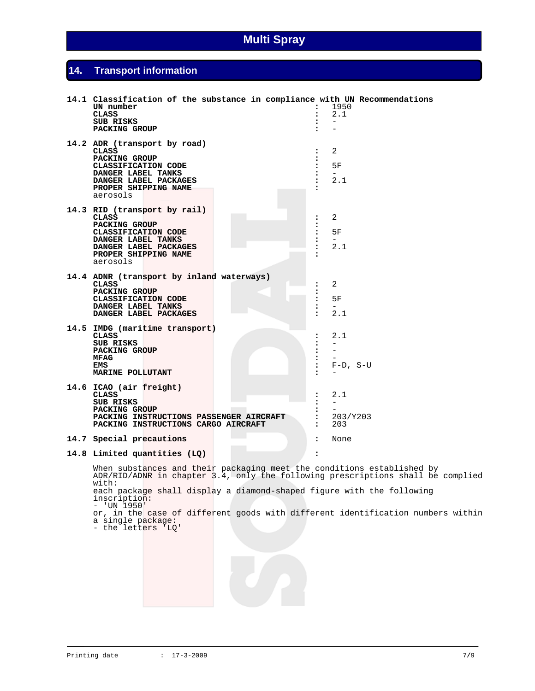## **14. Transport information**

| 14.1 Classification of the substance in compliance with UN Recommendations<br>UN number<br><b>CLASS</b><br>SUB RISKS<br><b>PACKING GROUP</b>                            | $\ddot{\phantom{a}}$                                                    | 1950<br>2.1<br>$\overline{\phantom{0}}$                 |
|-------------------------------------------------------------------------------------------------------------------------------------------------------------------------|-------------------------------------------------------------------------|---------------------------------------------------------|
| 14.2 ADR (transport by road)<br><b>CLASS</b><br>PACKING GROUP<br>CLASSIFICATION CODE<br>DANGER LABEL TANKS<br>DANGER LABEL PACKAGES<br>PROPER SHIPPING NAME<br>aerosols |                                                                         | 2<br>5F<br>2.1                                          |
| 14.3 RID (transport by rail)<br>CLASS<br>PACKING GROUP<br>CLASSIFICATION CODE<br>DANGER LABEL TANKS<br>DANGER LABEL PACKAGES<br>PROPER SHIPPING NAME<br>aerosols        | :<br>:                                                                  | 2<br>5F<br>$\overline{\phantom{0}}$<br>2.1              |
| 14.4 ADNR (transport by inland waterways)<br><b>CLASS</b><br>PACKING GROUP<br>CLASSIFICATION CODE<br>DANGER LABEL TANKS<br>DANGER LABEL PACKAGES                        | $\ddot{\phantom{a}}$<br>$\ddot{\phantom{a}}$<br>$\overline{\mathbf{z}}$ | $\overline{a}$<br>5F<br>$\overline{\phantom{0}}$<br>2.1 |
| 14.5 IMDG (maritime transport)<br><b>CLASS</b><br>SUB RISKS<br><b>PACKING GROUP</b><br>MFAG<br>EMS<br>MARINE POLLUTANT                                                  | :<br>$\overline{\mathbf{z}}$                                            | 2.1<br>$F-D$ , $S-U$                                    |
| 14.6 ICAO (air freight)<br>CLASS<br>SUB RISKS<br><b>PACKING GROUP</b><br>PACKING INSTRUCTIONS PASSENGER AIRCRAFT<br>PACKING INSTRUCTIONS CARGO AIRCRAFT                 |                                                                         | 2.1<br>$\qquad \qquad -$<br>203/Y203<br>203             |
| 14.7 Special precautions                                                                                                                                                | $\ddot{\phantom{a}}$                                                    | None                                                    |
| 14.8 Limited quantities (LQ)                                                                                                                                            | $\ddot{\phantom{a}}$                                                    |                                                         |
| When substances and their packaging meet the conditions established by<br>ADR/RID/ADNR in chapter 3.4, only the following prescriptions shall be complied<br>with:      |                                                                         |                                                         |

each package shall display a diamond-shaped figure with the following inscription: - 'UN 1950'

or, in the case of different goods with different identification numbers within a single package:

- the letters 'LQ'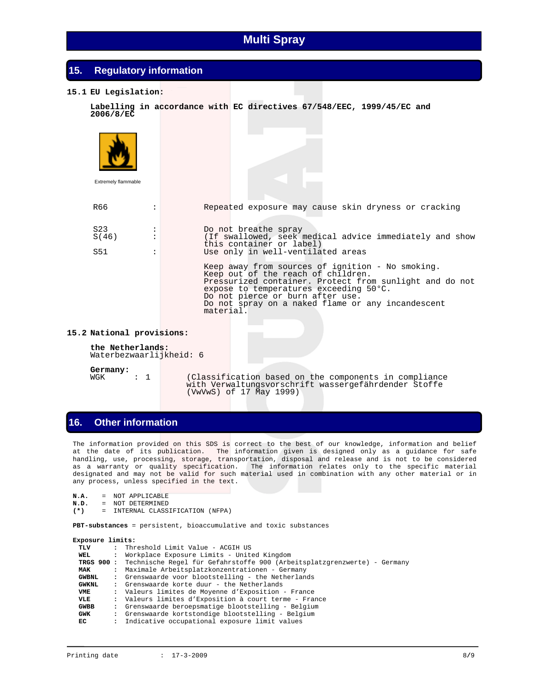| 15. | <b>Regulatory information</b>                             |                                                                                                                                                                                                                                                                                                   |
|-----|-----------------------------------------------------------|---------------------------------------------------------------------------------------------------------------------------------------------------------------------------------------------------------------------------------------------------------------------------------------------------|
|     | 15.1 EU Legislation:                                      |                                                                                                                                                                                                                                                                                                   |
|     | 2006/8/EC                                                 | Labelling in accordance with EC directives 67/548/EEC, 1999/45/EC and                                                                                                                                                                                                                             |
|     | Extremely flammable                                       |                                                                                                                                                                                                                                                                                                   |
|     |                                                           |                                                                                                                                                                                                                                                                                                   |
|     | R66                                                       | Repeated exposure may cause skin dryness or cracking<br>$\ddot{\phantom{a}}$                                                                                                                                                                                                                      |
|     | S <sub>23</sub><br>S(46)<br>S51                           | Do not breathe spray<br>$\ddot{\phantom{a}}$<br>$\ddot{\phantom{a}}$<br>(If swallowed, seek medical advice immediately and show<br>this container or label)<br>Use only in well-ventilated areas<br>$\ddot{\cdot}$                                                                                |
|     |                                                           | Keep away from sources of ignition - No smoking.<br>Keep out of the reach of children.<br>Pressurized container. Protect from sunlight and do not<br>expose to temperatures exceeding 50°C.<br>Do not pierce or burn after use.<br>Do not spray on a naked flame or any incandescent<br>material. |
|     | 15.2 National provisions:                                 |                                                                                                                                                                                                                                                                                                   |
|     | the Netherlands:<br>Waterbezwaarlijkheid: 6               |                                                                                                                                                                                                                                                                                                   |
|     | Germany:<br>$\overline{1}$<br>$\ddot{\phantom{a}}$<br>WGK | (Classification based on the components in compliance<br>with Verwaltungsvorschrift wassergefährdender Stoffe<br>(VwVwS) of 17 May 1999)                                                                                                                                                          |

## **16. Other information**

 The information provided on this SDS is correct to the best of our knowledge, information and belief at the date of its publication. The information given is designed only as a guidance for safe handling, use, processing, storage, transportation, disposal and release and is not to be considered as a warranty or quality specification. The information relates only to the specific material designated and may not be valid for such material used in combination with any other material or in any process, unless specified in the text.

```
N.A. = NOT APPLICABLE<br>N.D. = NOT DETERMINED
```

```
N.D. = NOT DETERMINED
```

```
(*) = INTERNAL CLASSIFICATION (NFPA)
```
 **PBT-substances** = persistent, bioaccumulative and toxic substances

| Exposure limits: |                      |                                                                                     |
|------------------|----------------------|-------------------------------------------------------------------------------------|
| TLV              | $\ddot{\phantom{a}}$ | Threshold Limit Value - ACGIH US                                                    |
| WEL              | $\mathbf{r}$         | Workplace Exposure Limits - United Kingdom                                          |
|                  |                      | TRGS 900 : Technische Regel für Gefahrstoffe 900 (Arbeitsplatzgrenzwerte) - Germany |
| <b>MAK</b>       | $\ddot{\phantom{a}}$ | Maximale Arbeitsplatzkonzentrationen - Germany                                      |
| <b>GWBNL</b>     |                      | : Grenswaarde voor blootstelling - the Netherlands                                  |
| <b>GWKNL</b>     |                      | : Grenswaarde korte duur - the Netherlands                                          |
| VME              |                      | : Valeurs limites de Moyenne d'Exposition - France                                  |
| VLE              |                      | : Valeurs limites d'Exposition à court terme - France                               |
| <b>GWBB</b>      | $\mathbf{r}$         | Grenswaarde beroepsmatige blootstelling - Belgium                                   |
| GWK              | $\ddot{\phantom{a}}$ | Grenswaarde kortstondige blootstelling - Belgium                                    |
| EC               | $\mathbf{r}$         | Indicative occupational exposure limit values                                       |